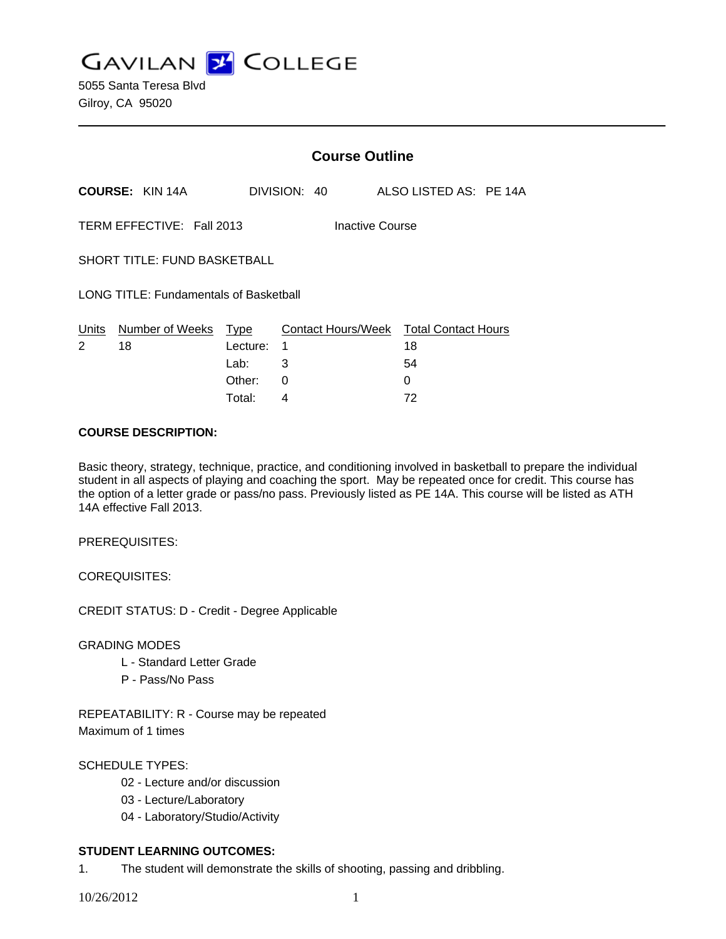**GAVILAN J COLLEGE** 

|                                               |                        | <b>Course Outline</b>                     |              |                    |  |  |                                        |  |  |
|-----------------------------------------------|------------------------|-------------------------------------------|--------------|--------------------|--|--|----------------------------------------|--|--|
|                                               | <b>COURSE: KIN 14A</b> |                                           | DIVISION: 40 |                    |  |  | ALSO LISTED AS: PE 14A                 |  |  |
| TERM EFFECTIVE: Fall 2013<br>Inactive Course  |                        |                                           |              |                    |  |  |                                        |  |  |
| <b>SHORT TITLE: FUND BASKETBALL</b>           |                        |                                           |              |                    |  |  |                                        |  |  |
| <b>LONG TITLE: Fundamentals of Basketball</b> |                        |                                           |              |                    |  |  |                                        |  |  |
| Units<br>2                                    | Number of Weeks<br>18  | <u>Type</u><br>1<br>Lecture:<br>3<br>Lab: |              | Contact Hours/Week |  |  | <b>Total Contact Hours</b><br>18<br>54 |  |  |
|                                               |                        | Other:                                    | 0            |                    |  |  | 0                                      |  |  |

Total: 4 72

### **COURSE DESCRIPTION:**

Basic theory, strategy, technique, practice, and conditioning involved in basketball to prepare the individual student in all aspects of playing and coaching the sport. May be repeated once for credit. This course has the option of a letter grade or pass/no pass. Previously listed as PE 14A. This course will be listed as ATH 14A effective Fall 2013.

PREREQUISITES:

COREQUISITES:

CREDIT STATUS: D - Credit - Degree Applicable

GRADING MODES

- L Standard Letter Grade
- P Pass/No Pass

REPEATABILITY: R - Course may be repeated Maximum of 1 times

## SCHEDULE TYPES:

- 02 Lecture and/or discussion
- 03 Lecture/Laboratory
- 04 Laboratory/Studio/Activity

# **STUDENT LEARNING OUTCOMES:**

1. The student will demonstrate the skills of shooting, passing and dribbling.

10/26/2012 1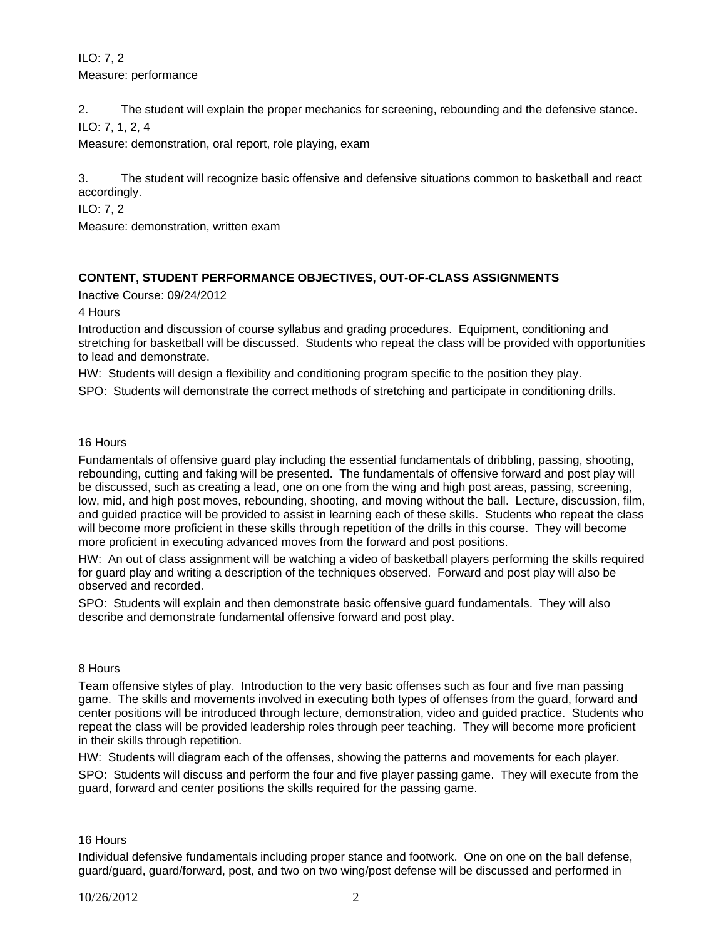ILO: 7, 2 Measure: performance

2. The student will explain the proper mechanics for screening, rebounding and the defensive stance. ILO: 7, 1, 2, 4

Measure: demonstration, oral report, role playing, exam

3. The student will recognize basic offensive and defensive situations common to basketball and react accordingly.

ILO: 7, 2

Measure: demonstration, written exam

### **CONTENT, STUDENT PERFORMANCE OBJECTIVES, OUT-OF-CLASS ASSIGNMENTS**

Inactive Course: 09/24/2012

4 Hours

Introduction and discussion of course syllabus and grading procedures. Equipment, conditioning and stretching for basketball will be discussed. Students who repeat the class will be provided with opportunities to lead and demonstrate.

HW: Students will design a flexibility and conditioning program specific to the position they play.

SPO: Students will demonstrate the correct methods of stretching and participate in conditioning drills.

16 Hours

Fundamentals of offensive guard play including the essential fundamentals of dribbling, passing, shooting, rebounding, cutting and faking will be presented. The fundamentals of offensive forward and post play will be discussed, such as creating a lead, one on one from the wing and high post areas, passing, screening, low, mid, and high post moves, rebounding, shooting, and moving without the ball. Lecture, discussion, film, and guided practice will be provided to assist in learning each of these skills. Students who repeat the class will become more proficient in these skills through repetition of the drills in this course. They will become more proficient in executing advanced moves from the forward and post positions.

HW: An out of class assignment will be watching a video of basketball players performing the skills required for guard play and writing a description of the techniques observed. Forward and post play will also be observed and recorded.

SPO: Students will explain and then demonstrate basic offensive guard fundamentals. They will also describe and demonstrate fundamental offensive forward and post play.

## 8 Hours

Team offensive styles of play. Introduction to the very basic offenses such as four and five man passing game. The skills and movements involved in executing both types of offenses from the guard, forward and center positions will be introduced through lecture, demonstration, video and guided practice. Students who repeat the class will be provided leadership roles through peer teaching. They will become more proficient in their skills through repetition.

HW: Students will diagram each of the offenses, showing the patterns and movements for each player.

SPO: Students will discuss and perform the four and five player passing game. They will execute from the guard, forward and center positions the skills required for the passing game.

#### 16 Hours

Individual defensive fundamentals including proper stance and footwork. One on one on the ball defense, guard/guard, guard/forward, post, and two on two wing/post defense will be discussed and performed in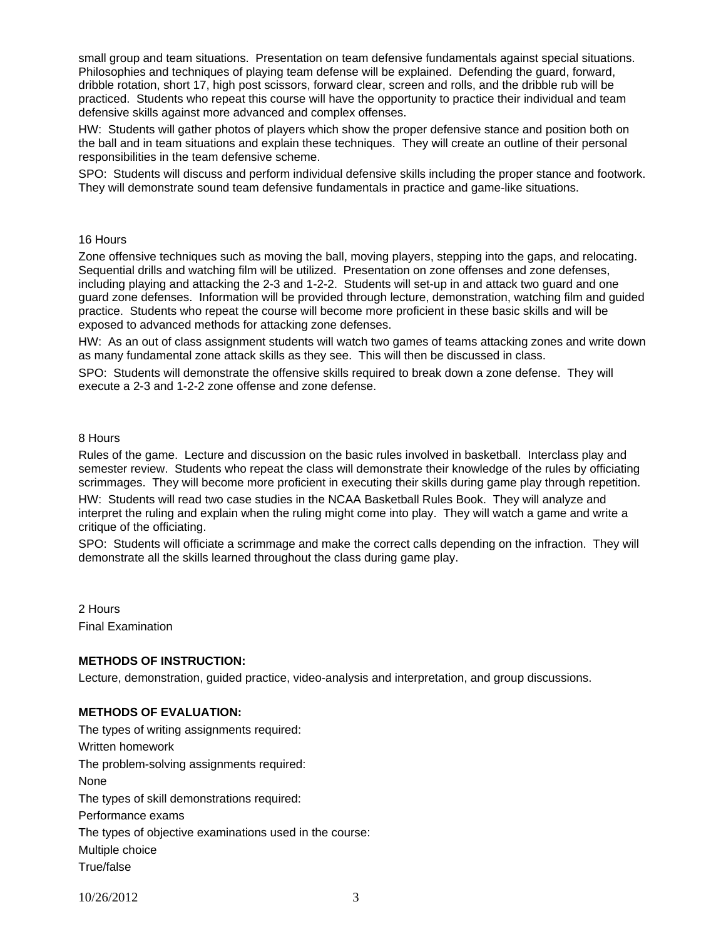small group and team situations. Presentation on team defensive fundamentals against special situations. Philosophies and techniques of playing team defense will be explained. Defending the guard, forward, dribble rotation, short 17, high post scissors, forward clear, screen and rolls, and the dribble rub will be practiced. Students who repeat this course will have the opportunity to practice their individual and team defensive skills against more advanced and complex offenses.

HW: Students will gather photos of players which show the proper defensive stance and position both on the ball and in team situations and explain these techniques. They will create an outline of their personal responsibilities in the team defensive scheme.

SPO: Students will discuss and perform individual defensive skills including the proper stance and footwork. They will demonstrate sound team defensive fundamentals in practice and game-like situations.

#### 16 Hours

Zone offensive techniques such as moving the ball, moving players, stepping into the gaps, and relocating. Sequential drills and watching film will be utilized. Presentation on zone offenses and zone defenses, including playing and attacking the 2-3 and 1-2-2. Students will set-up in and attack two guard and one guard zone defenses. Information will be provided through lecture, demonstration, watching film and guided practice. Students who repeat the course will become more proficient in these basic skills and will be exposed to advanced methods for attacking zone defenses.

HW: As an out of class assignment students will watch two games of teams attacking zones and write down as many fundamental zone attack skills as they see. This will then be discussed in class.

SPO: Students will demonstrate the offensive skills required to break down a zone defense. They will execute a 2-3 and 1-2-2 zone offense and zone defense.

#### 8 Hours

Rules of the game. Lecture and discussion on the basic rules involved in basketball. Interclass play and semester review. Students who repeat the class will demonstrate their knowledge of the rules by officiating scrimmages. They will become more proficient in executing their skills during game play through repetition.

HW: Students will read two case studies in the NCAA Basketball Rules Book. They will analyze and interpret the ruling and explain when the ruling might come into play. They will watch a game and write a critique of the officiating.

SPO: Students will officiate a scrimmage and make the correct calls depending on the infraction. They will demonstrate all the skills learned throughout the class during game play.

2 Hours Final Examination

#### **METHODS OF INSTRUCTION:**

Lecture, demonstration, guided practice, video-analysis and interpretation, and group discussions.

### **METHODS OF EVALUATION:**

The types of writing assignments required: Written homework The problem-solving assignments required: None The types of skill demonstrations required: Performance exams The types of objective examinations used in the course: Multiple choice True/false

10/26/2012 3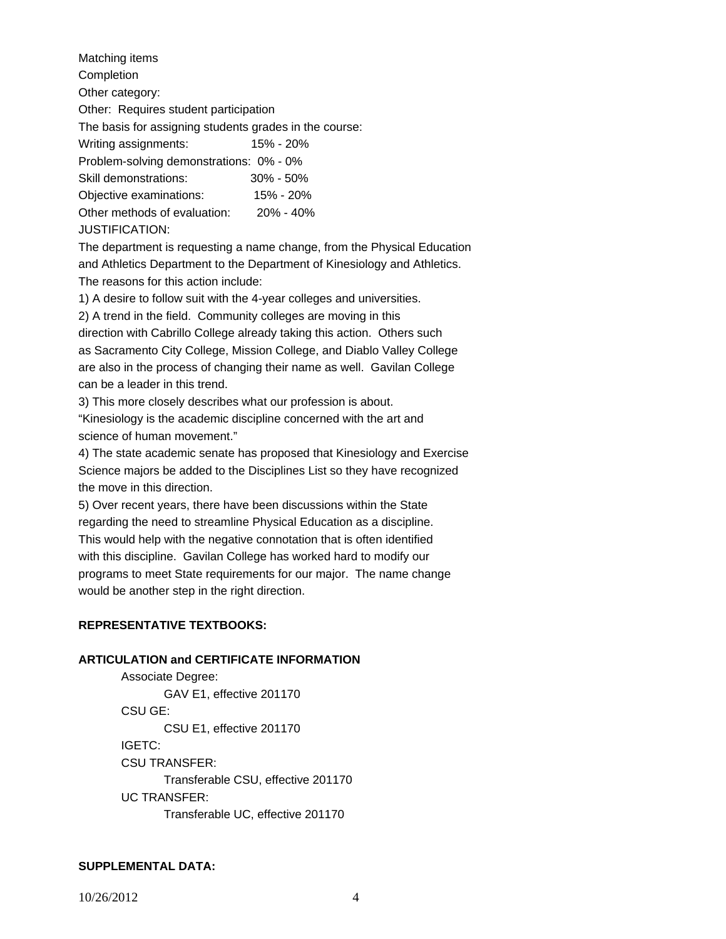Matching items Completion Other category: Other: Requires student participation The basis for assigning students grades in the course: Writing assignments: 15% - 20% Problem-solving demonstrations: 0% - 0% Skill demonstrations: 30% - 50% Objective examinations: 15% - 20% Other methods of evaluation: 20% - 40% JUSTIFICATION:

The department is requesting a name change, from the Physical Education and Athletics Department to the Department of Kinesiology and Athletics. The reasons for this action include:

1) A desire to follow suit with the 4-year colleges and universities.

2) A trend in the field. Community colleges are moving in this direction with Cabrillo College already taking this action. Others such as Sacramento City College, Mission College, and Diablo Valley College are also in the process of changing their name as well. Gavilan College can be a leader in this trend.

3) This more closely describes what our profession is about.

"Kinesiology is the academic discipline concerned with the art and science of human movement."

4) The state academic senate has proposed that Kinesiology and Exercise Science majors be added to the Disciplines List so they have recognized the move in this direction.

5) Over recent years, there have been discussions within the State regarding the need to streamline Physical Education as a discipline. This would help with the negative connotation that is often identified with this discipline. Gavilan College has worked hard to modify our programs to meet State requirements for our major. The name change would be another step in the right direction.

# **REPRESENTATIVE TEXTBOOKS:**

## **ARTICULATION and CERTIFICATE INFORMATION**

 Associate Degree: GAV E1, effective 201170 CSU GE: CSU E1, effective 201170 IGETC: CSU TRANSFER: Transferable CSU, effective 201170 UC TRANSFER: Transferable UC, effective 201170

# **SUPPLEMENTAL DATA:**